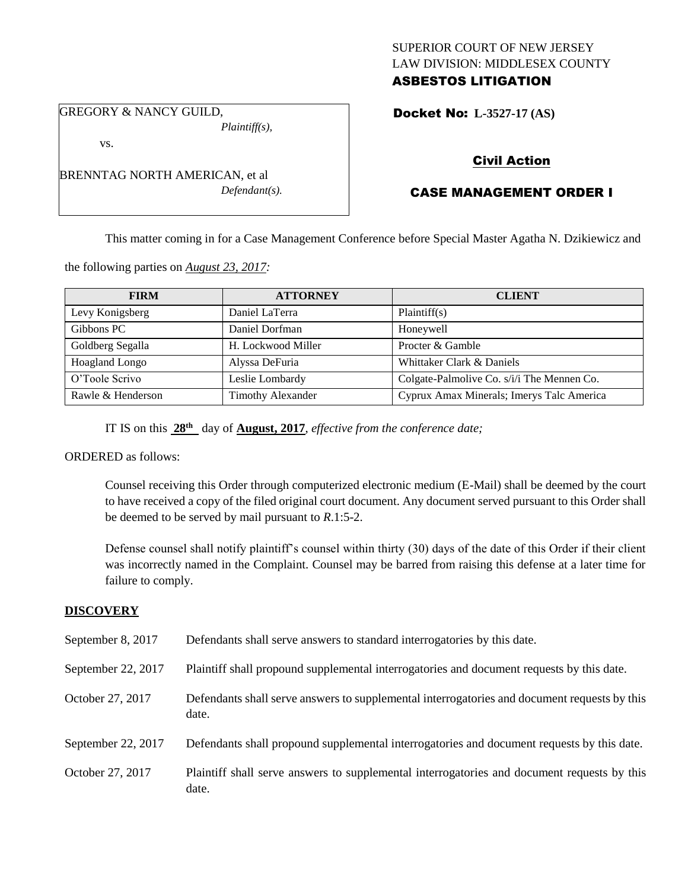## SUPERIOR COURT OF NEW JERSEY LAW DIVISION: MIDDLESEX COUNTY ASBESTOS LITIGATION

GREGORY & NANCY GUILD, *Plaintiff(s),*

Docket No: **L-3527-17 (AS)** 

vs.

BRENNTAG NORTH AMERICAN, et al *Defendant(s).*

## Civil Action

# CASE MANAGEMENT ORDER I

This matter coming in for a Case Management Conference before Special Master Agatha N. Dzikiewicz and

the following parties on *August 23, 2017:*

| <b>FIRM</b>       | <b>ATTORNEY</b>          | <b>CLIENT</b>                              |
|-------------------|--------------------------|--------------------------------------------|
| Levy Konigsberg   | Daniel LaTerra           | Plaintiff(s)                               |
| Gibbons PC        | Daniel Dorfman           | Honeywell                                  |
| Goldberg Segalla  | H. Lockwood Miller       | Procter & Gamble                           |
| Hoagland Longo    | Alyssa DeFuria           | Whittaker Clark & Daniels                  |
| O'Toole Scrivo    | Leslie Lombardy          | Colgate-Palmolive Co. s/i/i The Mennen Co. |
| Rawle & Henderson | <b>Timothy Alexander</b> | Cyprux Amax Minerals; Imerys Talc America  |

IT IS on this **28th** day of **August, 2017**, *effective from the conference date;*

ORDERED as follows:

Counsel receiving this Order through computerized electronic medium (E-Mail) shall be deemed by the court to have received a copy of the filed original court document. Any document served pursuant to this Order shall be deemed to be served by mail pursuant to *R*.1:5-2.

Defense counsel shall notify plaintiff's counsel within thirty (30) days of the date of this Order if their client was incorrectly named in the Complaint. Counsel may be barred from raising this defense at a later time for failure to comply.

## **DISCOVERY**

| September 8, 2017  | Defendants shall serve answers to standard interrogatories by this date.                              |
|--------------------|-------------------------------------------------------------------------------------------------------|
| September 22, 2017 | Plaintiff shall propound supplemental interrogatories and document requests by this date.             |
| October 27, 2017   | Defendants shall serve answers to supplemental interrogatories and document requests by this<br>date. |
| September 22, 2017 | Defendants shall propound supplemental interrogatories and document requests by this date.            |
| October 27, 2017   | Plaintiff shall serve answers to supplemental interrogatories and document requests by this<br>date.  |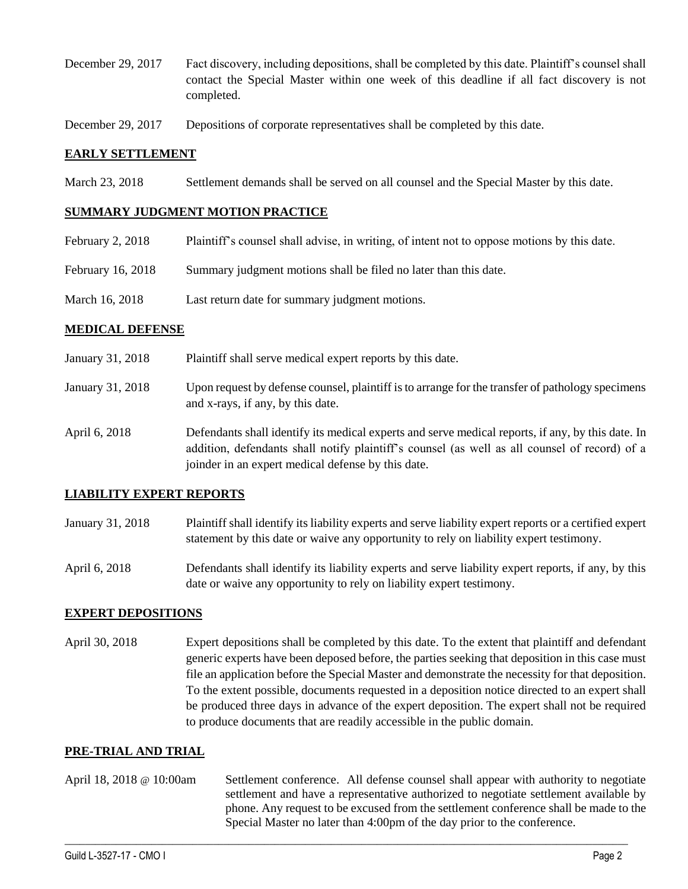- December 29, 2017 Fact discovery, including depositions, shall be completed by this date. Plaintiff's counsel shall contact the Special Master within one week of this deadline if all fact discovery is not completed.
- December 29, 2017 Depositions of corporate representatives shall be completed by this date.

### **EARLY SETTLEMENT**

March 23, 2018 Settlement demands shall be served on all counsel and the Special Master by this date.

### **SUMMARY JUDGMENT MOTION PRACTICE**

- February 2, 2018 Plaintiff's counsel shall advise, in writing, of intent not to oppose motions by this date.
- February 16, 2018 Summary judgment motions shall be filed no later than this date.
- March 16, 2018 Last return date for summary judgment motions.

#### **MEDICAL DEFENSE**

- January 31, 2018 Plaintiff shall serve medical expert reports by this date.
- January 31, 2018 Upon request by defense counsel, plaintiff is to arrange for the transfer of pathology specimens and x-rays, if any, by this date.
- April 6, 2018 Defendants shall identify its medical experts and serve medical reports, if any, by this date. In addition, defendants shall notify plaintiff's counsel (as well as all counsel of record) of a joinder in an expert medical defense by this date.

### **LIABILITY EXPERT REPORTS**

- January 31, 2018 Plaintiff shall identify its liability experts and serve liability expert reports or a certified expert statement by this date or waive any opportunity to rely on liability expert testimony.
- April 6, 2018 Defendants shall identify its liability experts and serve liability expert reports, if any, by this date or waive any opportunity to rely on liability expert testimony.

### **EXPERT DEPOSITIONS**

April 30, 2018 Expert depositions shall be completed by this date. To the extent that plaintiff and defendant generic experts have been deposed before, the parties seeking that deposition in this case must file an application before the Special Master and demonstrate the necessity for that deposition. To the extent possible, documents requested in a deposition notice directed to an expert shall be produced three days in advance of the expert deposition. The expert shall not be required to produce documents that are readily accessible in the public domain.

#### **PRE-TRIAL AND TRIAL**

April 18, 2018 @ 10:00am Settlement conference. All defense counsel shall appear with authority to negotiate settlement and have a representative authorized to negotiate settlement available by phone. Any request to be excused from the settlement conference shall be made to the Special Master no later than 4:00pm of the day prior to the conference.

 $\_$  ,  $\_$  ,  $\_$  ,  $\_$  ,  $\_$  ,  $\_$  ,  $\_$  ,  $\_$  ,  $\_$  ,  $\_$  ,  $\_$  ,  $\_$  ,  $\_$  ,  $\_$  ,  $\_$  ,  $\_$  ,  $\_$  ,  $\_$  ,  $\_$  ,  $\_$  ,  $\_$  ,  $\_$  ,  $\_$  ,  $\_$  ,  $\_$  ,  $\_$  ,  $\_$  ,  $\_$  ,  $\_$  ,  $\_$  ,  $\_$  ,  $\_$  ,  $\_$  ,  $\_$  ,  $\_$  ,  $\_$  ,  $\_$  ,